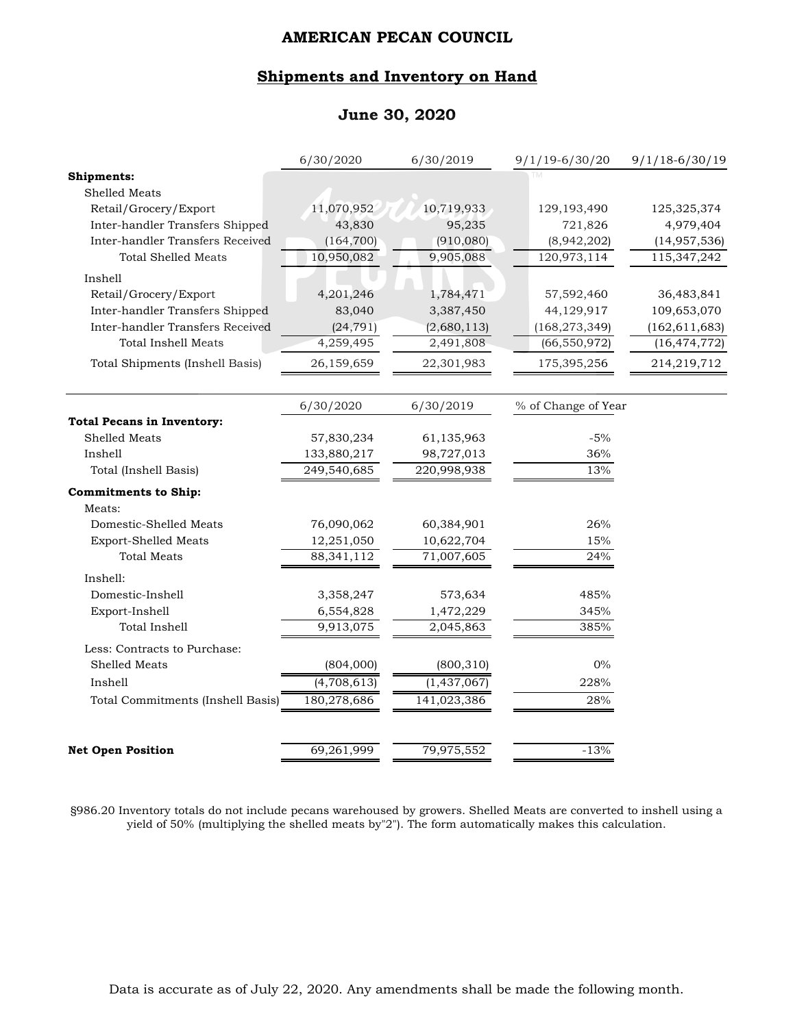## **Shipments and Inventory on Hand**

## **June 30, 2020**

|                                   | 6/30/2020    | 6/30/2019   | $9/1/19 - 6/30/20$  | $9/1/18-6/30/19$ |
|-----------------------------------|--------------|-------------|---------------------|------------------|
| <b>Shipments:</b>                 |              |             |                     |                  |
| Shelled Meats                     |              |             |                     |                  |
| Retail/Grocery/Export             | 11,070,952   | 10,719,933  | 129, 193, 490       | 125,325,374      |
| Inter-handler Transfers Shipped   | 43,830       | 95,235      | 721,826             | 4,979,404        |
| Inter-handler Transfers Received  | (164, 700)   | (910, 080)  | (8,942,202)         | (14, 957, 536)   |
| <b>Total Shelled Meats</b>        | 10,950,082   | 9,905,088   | 120,973,114         | 115,347,242      |
| Inshell                           |              |             |                     |                  |
| Retail/Grocery/Export             | 4,201,246    | 1,784,471   | 57,592,460          | 36,483,841       |
| Inter-handler Transfers Shipped   | 83,040       | 3,387,450   | 44,129,917          | 109,653,070      |
| Inter-handler Transfers Received  | (24, 791)    | (2,680,113) | (168, 273, 349)     | (162, 611, 683)  |
| <b>Total Inshell Meats</b>        | 4,259,495    | 2,491,808   | (66, 550, 972)      | (16, 474, 772)   |
| Total Shipments (Inshell Basis)   | 26,159,659   | 22,301,983  | 175,395,256         | 214,219,712      |
|                                   | 6/30/2020    | 6/30/2019   | % of Change of Year |                  |
| <b>Total Pecans in Inventory:</b> |              |             |                     |                  |
| Shelled Meats                     | 57,830,234   | 61,135,963  | $-5%$               |                  |
| Inshell                           | 133,880,217  | 98,727,013  | 36%                 |                  |
| Total (Inshell Basis)             | 249,540,685  | 220,998,938 | 13%                 |                  |
| <b>Commitments to Ship:</b>       |              |             |                     |                  |
| Meats:                            |              |             |                     |                  |
| Domestic-Shelled Meats            | 76,090,062   | 60,384,901  | 26%                 |                  |
| <b>Export-Shelled Meats</b>       | 12,251,050   | 10,622,704  | 15%                 |                  |
| <b>Total Meats</b>                | 88, 341, 112 | 71,007,605  | 24%                 |                  |
| Inshell:                          |              |             |                     |                  |
| Domestic-Inshell                  | 3,358,247    | 573,634     | 485%                |                  |
| Export-Inshell                    | 6,554,828    | 1,472,229   | 345%                |                  |
| Total Inshell                     | 9,913,075    | 2,045,863   | 385%                |                  |
| Less: Contracts to Purchase:      |              |             |                     |                  |
| Shelled Meats                     | (804,000)    | (800, 310)  | $0\%$               |                  |
| Inshell                           | (4,708,613)  | (1,437,067) | 228%                |                  |
| Total Commitments (Inshell Basis) | 180,278,686  | 141,023,386 | 28%                 |                  |
| <b>Net Open Position</b>          | 69,261,999   | 79,975,552  | $-13%$              |                  |
|                                   |              |             |                     |                  |

§986.20 Inventory totals do not include pecans warehoused by growers. Shelled Meats are converted to inshell using a yield of 50% (multiplying the shelled meats by"2"). The form automatically makes this calculation.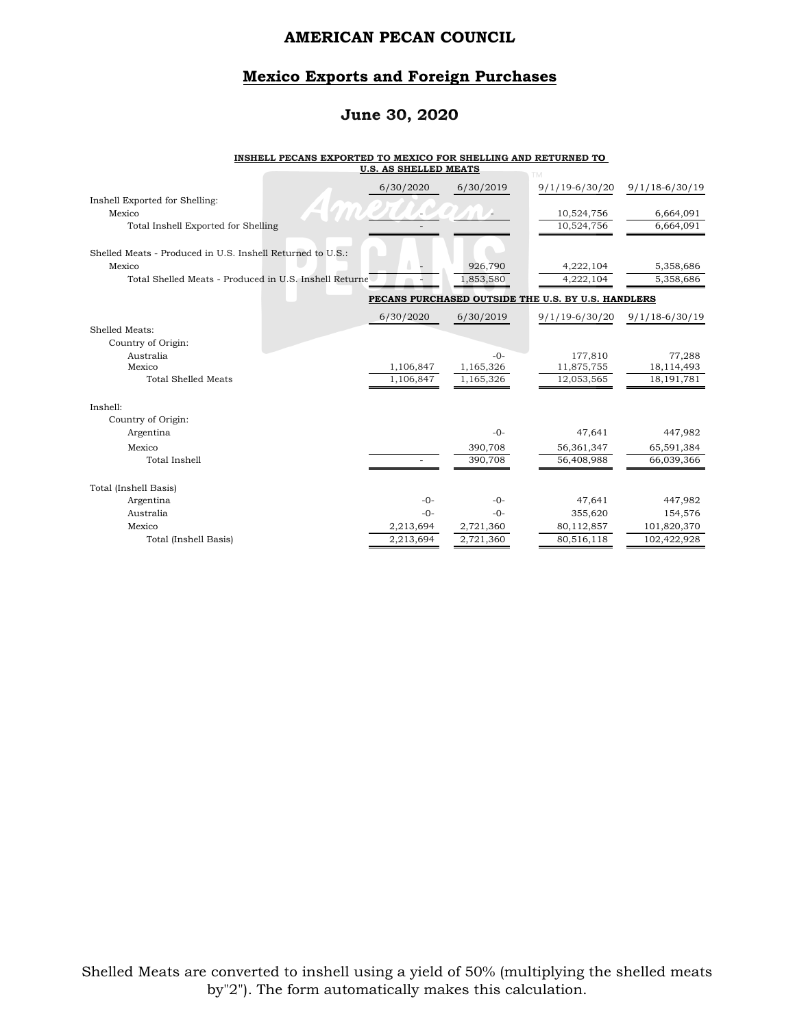## **Mexico Exports and Foreign Purchases**

## **June 30, 2020**

#### **INSHELL PECANS EXPORTED TO MEXICO FOR SHELLING AND RETURNED TO U.S. AS SHELLED MEATS**

|                                                            | 6/30/2020 | 6/30/2019 | $9/1/19 - 6/30/20$                                 | $9/1/18 - 6/30/19$ |
|------------------------------------------------------------|-----------|-----------|----------------------------------------------------|--------------------|
| Inshell Exported for Shelling:                             |           |           |                                                    |                    |
| Mexico                                                     |           |           | 10,524,756                                         | 6,664,091          |
| Total Inshell Exported for Shelling                        |           |           | 10,524,756                                         | 6,664,091          |
|                                                            |           |           |                                                    |                    |
| Shelled Meats - Produced in U.S. Inshell Returned to U.S.: |           |           |                                                    |                    |
| Mexico                                                     |           | 926,790   | 4,222,104                                          | 5,358,686          |
| Total Shelled Meats - Produced in U.S. Inshell Returne     |           | 1,853,580 | 4,222,104                                          | 5,358,686          |
|                                                            |           |           | PECANS PURCHASED OUTSIDE THE U.S. BY U.S. HANDLERS |                    |
|                                                            | 6/30/2020 | 6/30/2019 | $9/1/19 - 6/30/20$                                 | $9/1/18 - 6/30/19$ |
| Shelled Meats:                                             |           |           |                                                    |                    |
| Country of Origin:                                         |           |           |                                                    |                    |
| Australia                                                  |           | $-0-$     | 177,810                                            | 77,288             |
| Mexico                                                     | 1,106,847 | 1,165,326 | 11,875,755                                         | 18,114,493         |
| <b>Total Shelled Meats</b>                                 | 1,106,847 | 1,165,326 | 12,053,565                                         | 18, 191, 781       |
|                                                            |           |           |                                                    |                    |
| Inshell:                                                   |           |           |                                                    |                    |
| Country of Origin:                                         |           |           |                                                    |                    |
| Argentina                                                  |           | $-0-$     | 47,641                                             | 447,982            |
| Mexico                                                     |           | 390,708   | 56,361,347                                         | 65,591,384         |
| Total Inshell                                              |           | 390,708   | 56,408,988                                         | 66,039,366         |
|                                                            |           |           |                                                    |                    |
| Total (Inshell Basis)                                      |           |           |                                                    |                    |
| Argentina                                                  | $-()$ -   | $-0-$     | 47,641                                             | 447,982            |
| Australia                                                  | $-()$ -   | $-0-$     | 355,620                                            | 154,576            |
| Mexico                                                     | 2,213,694 | 2,721,360 | 80,112,857                                         | 101,820,370        |
| Total (Inshell Basis)                                      | 2,213,694 | 2,721,360 | 80,516,118                                         | 102,422,928        |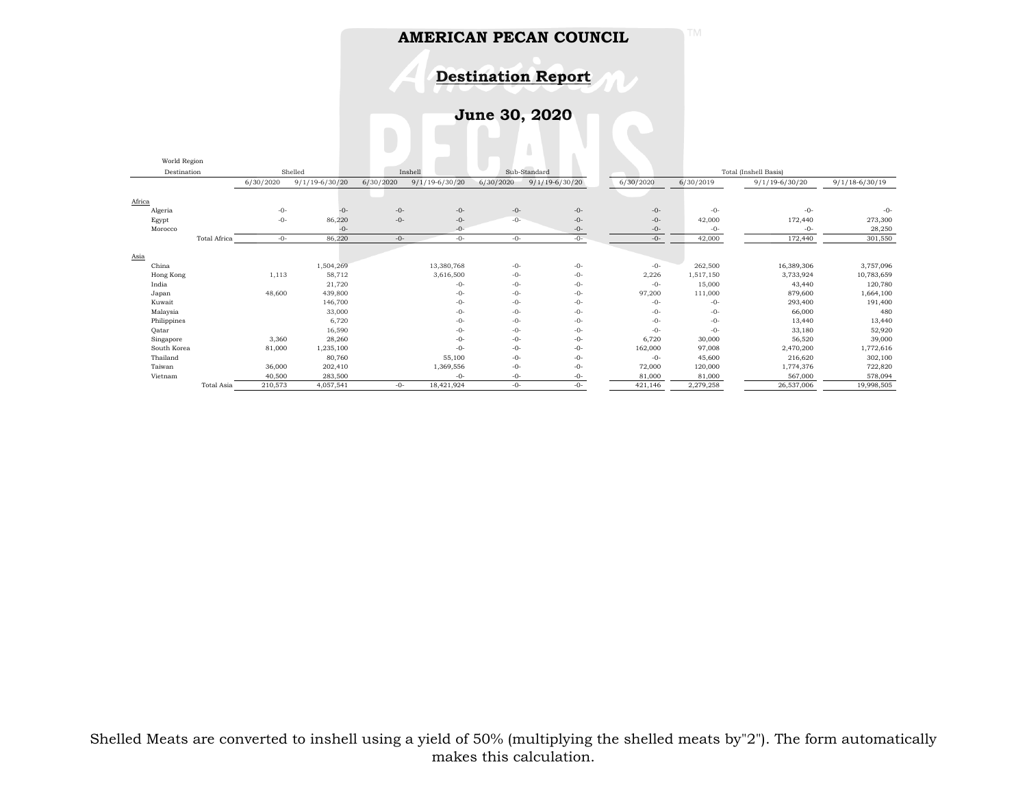**Destination Report**

**June 30, 2020**

|               | World Region |           |                    |           |                    |           |                    |           |           |                       |                  |
|---------------|--------------|-----------|--------------------|-----------|--------------------|-----------|--------------------|-----------|-----------|-----------------------|------------------|
|               | Destination  |           | Shelled            |           | Inshell            |           | Sub-Standard       |           |           | Total (Inshell Basis) |                  |
|               |              | 6/30/2020 | $9/1/19 - 6/30/20$ | 6/30/2020 | $9/1/19 - 6/30/20$ | 6/30/2020 | $9/1/19 - 6/30/20$ | 6/30/2020 | 6/30/2019 | $9/1/19 - 6/30/20$    | $9/1/18-6/30/19$ |
| Africa        |              |           |                    |           |                    |           |                    |           |           |                       |                  |
| Algeria       |              | $-0-$     | $-0-$              | $-0-$     | $-0-$              | $-0-$     | $-0-$              | $-0-$     | $-0-$     | $-0-$                 | $-0-$            |
| Egypt         |              | $-0-$     | 86,220             | $-0-$     | $-0-$              | $-0-$     | $-0-$              | $-0-$     | 42,000    | 172,440               | 273,300          |
| Morocco       |              |           | $-0-$              |           | $-0-$              |           | $-0-$              | $-0-$     | $-0-$     | $-0-$                 | 28,250           |
|               | Total Africa | $-0-$     | 86,220             | $-0-$     | $-0-$              | $-0-$     | $-0-$              | $-0-$     | 42,000    | 172,440               | 301,550          |
|               |              |           |                    |           |                    |           |                    |           |           |                       |                  |
| Asia<br>China |              |           | 1,504,269          |           | 13,380,768         | $-0-$     | $-0-$              | $-0-$     | 262,500   | 16,389,306            | 3,757,096        |
| Hong Kong     |              | 1,113     | 58,712             |           | 3,616,500          | $-0-$     | $-0-$              | 2,226     | 1,517,150 | 3,733,924             | 10,783,659       |
| India         |              |           | 21,720             |           | $-0-$              | $-0-$     | $-0-$              | $-0-$     | 15,000    | 43,440                | 120,780          |
| Japan         |              | 48,600    | 439,800            |           | $-0-$              | $-0-$     | $-0-$              | 97,200    | 111,000   | 879,600               | 1,664,100        |
| Kuwait        |              |           | 146,700            |           | $-0-$              | $-0-$     | $-0-$              | $-0-$     | $-0-$     | 293,400               | 191,400          |
| Malaysia      |              |           | 33,000             |           | $-0-$              | $-0-$     | $-0-$              | $-0-$     | $-0-$     | 66,000                | 480              |
| Philippines   |              |           | 6,720              |           | $-0-$              | $-0-$     | $-0-$              | $-0-$     | $-0-$     | 13,440                | 13,440           |
| Qatar         |              |           | 16,590             |           | $-0-$              | $-0-$     | $-0-$              | $-0-$     | $-0-$     | 33,180                | 52,920           |
| Singapore     |              | 3,360     | 28,260             |           | $-0-$              | $-0-$     | $-0-$              | 6,720     | 30,000    | 56,520                | 39,000           |
| South Korea   |              | 81,000    | 1,235,100          |           | $-0-$              | $-0-$     | $-0-$              | 162,000   | 97,008    | 2,470,200             | 1,772,616        |
| Thailand      |              |           | 80,760             |           | 55,100             | $-0-$     | $-0-$              | $-0-$     | 45,600    | 216,620               | 302,100          |
| Taiwan        |              | 36,000    | 202,410            |           | 1,369,556          | $-0-$     | $-0-$              | 72,000    | 120,000   | 1,774,376             | 722,820          |
| Vietnam       |              | 40,500    | 283,500            |           | $-0-$              | $-0-$     | -0-                | 81,000    | 81,000    | 567,000               | 578,094          |
|               | Total Asia   | 210,573   | 4,057,541          | $-0-$     | 18,421,924         | $-0-$     | $-0-$              | 421,146   | 2,279,258 | 26,537,006            | 19,998,505       |

Shelled Meats are converted to inshell using a yield of 50% (multiplying the shelled meats by"2"). The form automatically makes this calculation.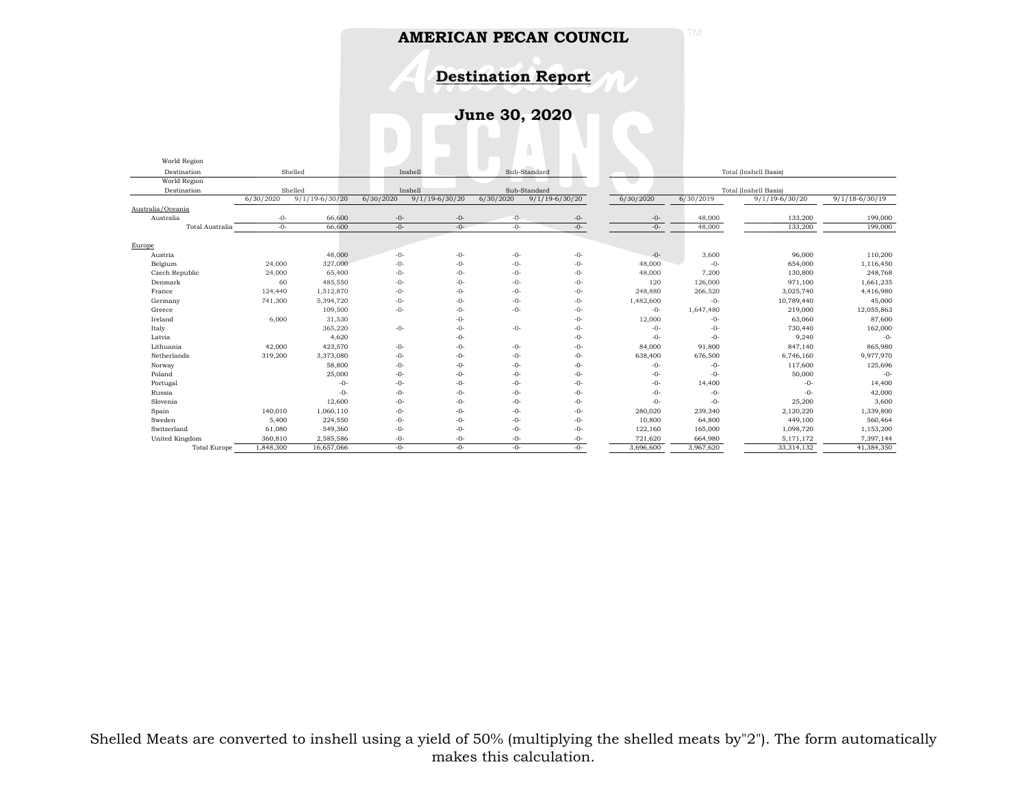**Destination Report**

**June 30, 2020**

| World Region        |           |                    |           |                    |           |                    |                       |           |                       |                  |
|---------------------|-----------|--------------------|-----------|--------------------|-----------|--------------------|-----------------------|-----------|-----------------------|------------------|
| Destination         |           | Shelled            |           | Inshell            |           | Sub-Standard       | Total (Inshell Basis) |           |                       |                  |
| World Region        |           |                    |           |                    |           |                    |                       |           |                       |                  |
| Destination         |           | Shelled            |           | Inshell            |           | Sub-Standard       |                       |           | Total (Inshell Basis) |                  |
|                     | 6/30/2020 | $9/1/19 - 6/30/20$ | 6/30/2020 | $9/1/19 - 6/30/20$ | 6/30/2020 | $9/1/19 - 6/30/20$ | 6/30/2020             | 6/30/2019 | $9/1/19-6/30/20$      | $9/1/18-6/30/19$ |
| Australia/Oceania   |           |                    |           |                    |           |                    |                       |           |                       |                  |
| Australia           | -0-       | 66,600             | $-0-$     | $-0-$              | $-0-$     | $-0-$              | -0-                   | 48,000    | 133,200               | 199,000          |
| Total Australia     | $-0-$     | 66,600             | $-0-$     | $-0-$              | $-0-$     | $-0-$              | $-0-$                 | 48,000    | 133,200               | 199,000          |
| Europe              |           |                    |           |                    |           |                    |                       |           |                       |                  |
| Austria             |           | 48,000             | $-0-$     | $-0-$              | $-0-$     | $-0-$              | $-0-$                 | 3,600     | 96,000                | 110,200          |
| Belgium             | 24,000    | 327,000            | $-0-$     | $-0-$              | $-0-$     | $-0-$              | 48,000                | $-()$ -   | 654,000               | 1,116,450        |
| Czech Republic      | 24,000    | 65,400             | $-0-$     | $-0-$              | $-0-$     | $-0-$              | 48,000                | 7,200     | 130,800               | 248,768          |
| Denmark             | 60        | 485,550            | $-0-$     | $-0-$              | $-0-$     | $-0-$              | 120                   | 126,000   | 971,100               | 1,661,235        |
| France              | 124,440   | 1,512,870          | $-0-$     | $-0-$              | $-0-$     | $-0-$              | 248,880               | 266,520   | 3,025,740             | 4,416,980        |
| Germany             | 741,300   | 5,394,720          | $-0-$     | $-0-$              | $-0-$     | $-0-$              | 1,482,600             | $-0-$     | 10,789,440            | 45,000           |
| Greece              |           | 109,500            | $-0-$     | $-0-$              | $-0-$     | $-0-$              | $-0-$                 | 1,647,480 | 219,000               | 12,055,863       |
| Ireland             | 6,000     | 31,530             |           | $-0-$              |           | $-0-$              | 12,000                | $-0-$     | 63,060                | 87,600           |
| Italy               |           | 365,220            | $-0-$     | $-0-$              | $-0-$     | $-0-$              | $-0-$                 | $-0-$     | 730,440               | 162,000          |
| Latvia              |           | 4,620              |           | $-0-$              |           | $-0-$              | $-0-$                 | $-0-$     | 9,240                 | $-0-$            |
| Lithuania           | 42,000    | 423,570            | $-0-$     | $-0-$              | -0-       | $-0-$              | 84,000                | 91,800    | 847,140               | 865,980          |
| Netherlands         | 319,200   | 3,373,080          | $-0-$     | $-0-$              | $-0-$     | $-0-$              | 638,400               | 676,500   | 6,746,160             | 9,977,970        |
| Norway              |           | 58,800             | $-0-$     | $-0-$              | $-0-$     | $-0-$              | $-0-$                 | $-0-$     | 117,600               | 125,696          |
| Poland              |           | 25,000             | $-0-$     | $-0-$              | $-0-$     | $-0-$              | $-0-$                 | $-0-$     | 50,000                | $-0-$            |
| Portugal            |           | $-()$ -            | $-0-$     | $-0-$              | $-0-$     | $-0-$              | -0-                   | 14,400    | $-0-$                 | 14,400           |
| Russia              |           | $-0-$              | $-0-$     | $-0-$              | $-0-$     | $-0-$              | $-0-$                 | $-0-$     | $-0-$                 | 42,000           |
| Slovenia            |           | 12,600             | $-0-$     | $-0-$              | $-0-$     | $-0-$              | $-0-$                 | $-0-$     | 25,200                | 3,600            |
| Spain               | 140,010   | 1,060,110          | $-0-$     | $-0-$              | $-0-$     | $-0-$              | 280,020               | 239,340   | 2,120,220             | 1,339,800        |
| Sweden              | 5,400     | 224,550            | $-0-$     | $-0-$              | $-0-$     | $-0-$              | 10,800                | 64,800    | 449,100               | 560,464          |
| Switzerland         | 61,080    | 549,360            | $-0-$     | $-0-$              | $-0-$     | $-0-$              | 122,160               | 165,000   | 1,098,720             | 1,153,200        |
| United Kingdom      | 360,810   | 2,585,586          | $-0-$     | -0-                | $-0-$     | $-0-$              | 721,620               | 664,980   | 5,171,172             | 7,397,144        |
| <b>Total Europe</b> | 1,848,300 | 16,657,066         | $-0-$     | $-0-$              | $-0-$     | $-0-$              | 3,696,600             | 3,967,620 | 33,314,132            | 41,384,350       |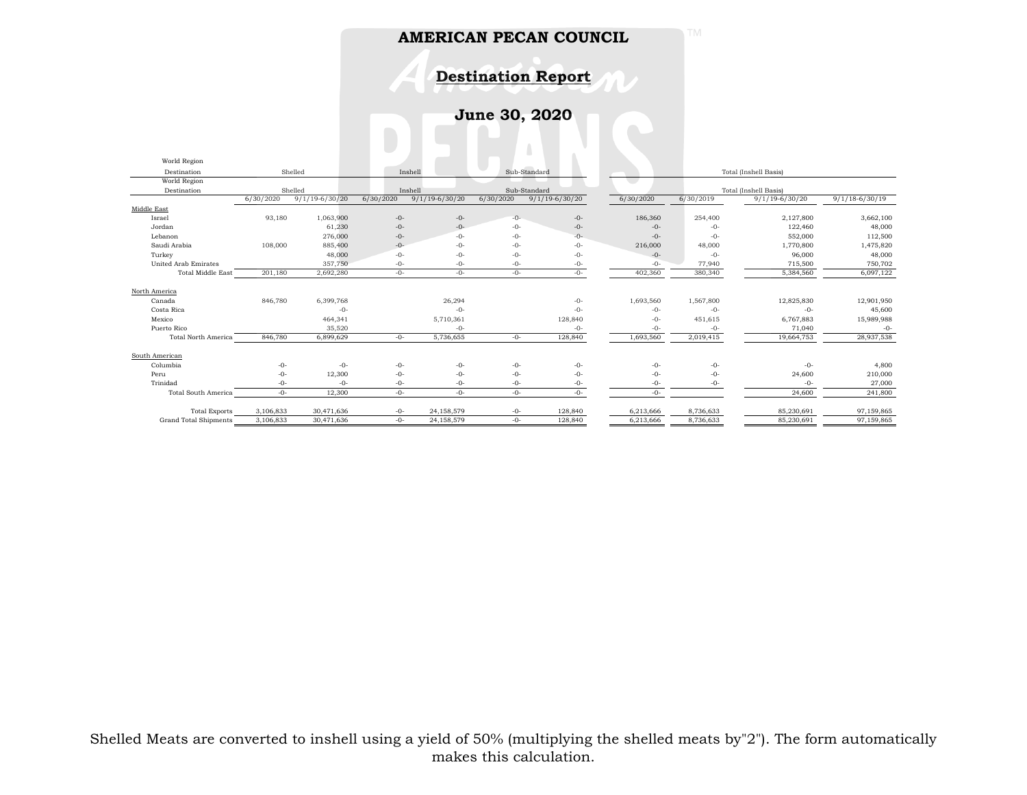**Destination Report**

**June 30, 2020**

| World Region                 |           |                    |           |                         |           |                       |           |                       |                    |                    |  |
|------------------------------|-----------|--------------------|-----------|-------------------------|-----------|-----------------------|-----------|-----------------------|--------------------|--------------------|--|
| Destination                  | Shelled   |                    |           | Sub-Standard<br>Inshell |           | Total (Inshell Basis) |           |                       |                    |                    |  |
| World Region                 |           |                    |           |                         |           |                       |           |                       |                    |                    |  |
| Destination                  | Shelled   |                    |           | Inshell                 |           | Sub-Standard          |           | Total (Inshell Basis) |                    |                    |  |
|                              | 6/30/2020 | $9/1/19 - 6/30/20$ | 6/30/2020 | $9/1/19 - 6/30/20$      | 6/30/2020 | $9/1/19 - 6/30/20$    | 6/30/2020 | 6/30/2019             | $9/1/19 - 6/30/20$ | $9/1/18 - 6/30/19$ |  |
| Middle East                  |           |                    |           |                         |           |                       |           |                       |                    |                    |  |
| Israel                       | 93,180    | 1,063,900          | $-0-$     | $-0-$                   | $-0-$     | -0-                   | 186,360   | 254,400               | 2,127,800          | 3,662,100          |  |
| Jordan                       |           | 61,230             | $-0-$     | $-0-$                   | $-0-$     | $-0-$                 | $-0-$     | $-0-$                 | 122,460            | 48,000             |  |
| Lebanon                      |           | 276,000            | $-0-$     | $-0-$                   | $-0-$     | $-0-$                 | $-0-$     | $-0-$                 | 552,000            | 112,500            |  |
| Saudi Arabia                 | 108,000   | 885,400            | $-0-$     | $-0-$                   | $-0-$     | $-0-$                 | 216,000   | 48,000                | 1,770,800          | 1,475,820          |  |
| Turkey                       |           | 48,000             | $-0-$     | $-0-$                   | $-0-$     | $-0-$                 | $-0-$     | $-0-$                 | 96,000             | 48,000             |  |
| <b>United Arab Emirates</b>  |           | 357,750            | $-0-$     | $-0-$                   | $-0-$     | $-0-$                 | $-0-$     | 77,940                | 715,500            | 750,702            |  |
| <b>Total Middle East</b>     | 201,180   | 2,692,280          | $-0-$     | $-0-$                   | $-0-$     | $-0-$                 | 402,360   | 380,340               | 5,384,560          | 6,097,122          |  |
|                              |           |                    |           |                         |           |                       |           |                       |                    |                    |  |
| North America                |           |                    |           |                         |           |                       |           |                       |                    |                    |  |
| Canada                       | 846,780   | 6,399,768          |           | 26,294                  |           | $-0-$                 | 1,693,560 | 1,567,800             | 12,825,830         | 12,901,950         |  |
| Costa Rica                   |           | $-0-$              |           | $-0-$                   |           | $-0-$                 | $-0-$     | $-0-$                 | $-0-$              | 45,600             |  |
| Mexico                       |           | 464,341            |           | 5,710,361               |           | 128,840               | $-0-$     | 451,615               | 6,767,883          | 15,989,988         |  |
| Puerto Rico                  |           | 35,520             |           | $-0-$                   |           | $-0-$                 | $-0-$     | $-0-$                 | 71,040             | $-0-$              |  |
| <b>Total North America</b>   | 846,780   | 6,899,629          | $-0-$     | 5,736,655               | $-0-$     | 128,840               | 1,693,560 | 2,019,415             | 19,664,753         | 28,937,538         |  |
|                              |           |                    |           |                         |           |                       |           |                       |                    |                    |  |
| South American               |           |                    |           |                         |           |                       |           |                       |                    |                    |  |
| Columbia                     | $-0-$     | $-0-$              | $-0-$     | $-0-$                   | $-0-$     | $-0-$                 | $-0-$     | $-0-$                 | $-0-$              | 4,800              |  |
| Peru                         | $-0-$     | 12,300             | $-0-$     | $-0-$                   | $-0-$     | $-0-$                 | $-0-$     | $-0-$                 | 24,600             | 210,000            |  |
| Trinidad                     | $-0-$     | $-0-$              | $-0-$     | -0-                     | $-0-$     | -0-                   | $-0-$     | -0-                   | $-0-$              | 27,000             |  |
| <b>Total South America</b>   | $-0-$     | 12,300             | $-0-$     | $-0-$                   | $-0-$     | $-0-$                 | $-0-$     |                       | 24,600             | 241,800            |  |
|                              |           |                    |           |                         |           |                       |           |                       |                    |                    |  |
| <b>Total Exports</b>         | 3,106,833 | 30,471,636         | $-0-$     | 24,158,579              | $-0-$     | 128,840               | 6,213,666 | 8,736,633             | 85,230,691         | 97,159,865         |  |
| <b>Grand Total Shipments</b> | 3,106,833 | 30,471,636         | $-0-$     | 24,158,579              | -0-       | 128,840               | 6,213,666 | 8,736,633             | 85,230,691         | 97,159,865         |  |